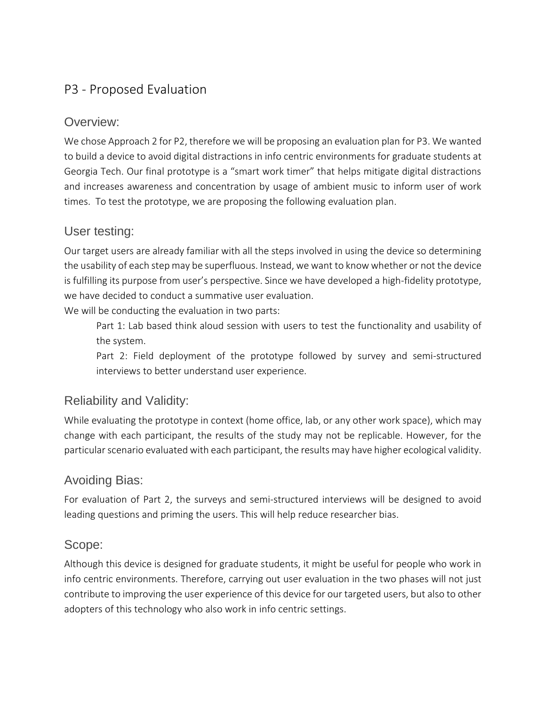## P3 - Proposed Evaluation

## Overview:

We chose Approach 2 for P2, therefore we will be proposing an evaluation plan for P3. We wanted to build a device to avoid digital distractions in info centric environments for graduate students at Georgia Tech. Our final prototype is a "smart work timer" that helps mitigate digital distractions and increases awareness and concentration by usage of ambient music to inform user of work times. To test the prototype, we are proposing the following evaluation plan.

## User testing:

Our target users are already familiar with all the steps involved in using the device so determining the usability of each step may be superfluous. Instead, we want to know whether or not the device is fulfilling its purpose from user's perspective. Since we have developed a high-fidelity prototype, we have decided to conduct a summative user evaluation.

We will be conducting the evaluation in two parts:

Part 1: Lab based think aloud session with users to test the functionality and usability of the system.

Part 2: Field deployment of the prototype followed by survey and semi-structured interviews to better understand user experience.

## Reliability and Validity:

While evaluating the prototype in context (home office, lab, or any other work space), which may change with each participant, the results of the study may not be replicable. However, for the particular scenario evaluated with each participant, the results may have higher ecological validity.

## Avoiding Bias:

For evaluation of Part 2, the surveys and semi-structured interviews will be designed to avoid leading questions and priming the users. This will help reduce researcher bias.

### Scope:

Although this device is designed for graduate students, it might be useful for people who work in info centric environments. Therefore, carrying out user evaluation in the two phases will not just contribute to improving the user experience of this device for our targeted users, but also to other adopters of this technology who also work in info centric settings.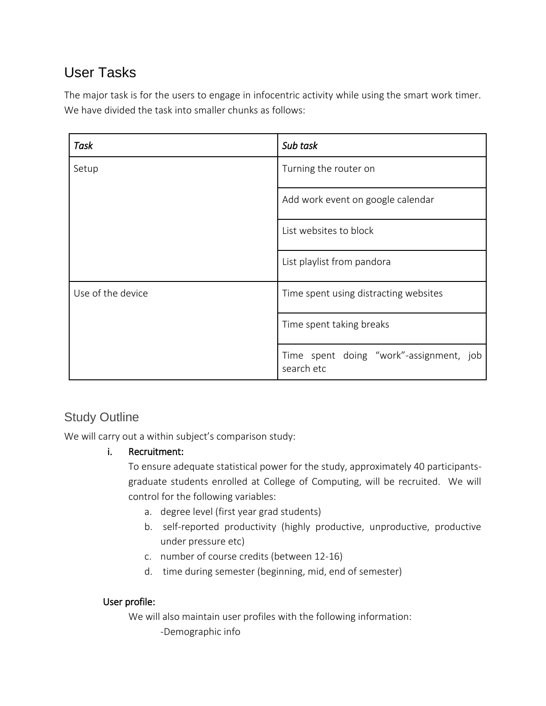# User Tasks

The major task is for the users to engage in infocentric activity while using the smart work timer. We have divided the task into smaller chunks as follows:

| Task              | Sub task                                              |  |  |
|-------------------|-------------------------------------------------------|--|--|
| Setup             | Turning the router on                                 |  |  |
|                   | Add work event on google calendar                     |  |  |
|                   | List websites to block                                |  |  |
|                   | List playlist from pandora                            |  |  |
| Use of the device | Time spent using distracting websites                 |  |  |
|                   | Time spent taking breaks                              |  |  |
|                   | Time spent doing "work"-assignment, job<br>search etc |  |  |

## Study Outline

We will carry out a within subject's comparison study:

### i. Recruitment:

To ensure adequate statistical power for the study, approximately 40 participantsgraduate students enrolled at College of Computing, will be recruited. We will control for the following variables:

- a. degree level (first year grad students)
- b. self-reported productivity (highly productive, unproductive, productive under pressure etc)
- c. number of course credits (between 12-16)
- d. time during semester (beginning, mid, end of semester)

### User profile:

We will also maintain user profiles with the following information: -Demographic info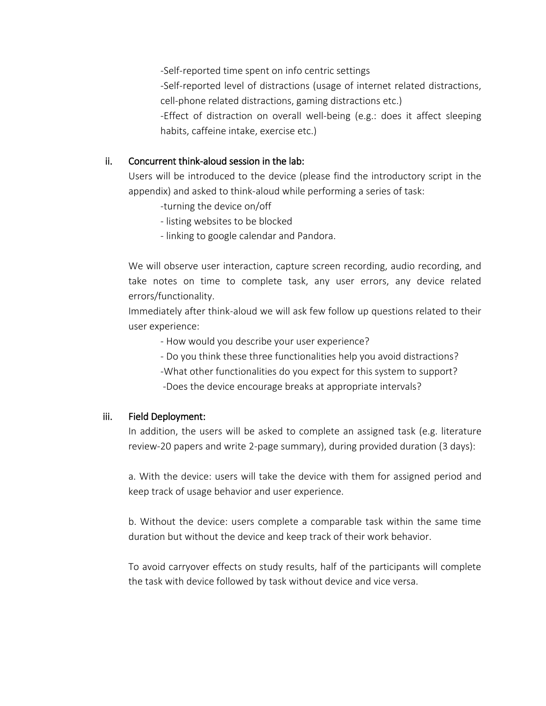-Self-reported time spent on info centric settings

-Self-reported level of distractions (usage of internet related distractions, cell-phone related distractions, gaming distractions etc.)

-Effect of distraction on overall well-being (e.g.: does it affect sleeping habits, caffeine intake, exercise etc.)

#### ii. Concurrent think-aloud session in the lab:

Users will be introduced to the device (please find the introductory script in the appendix) and asked to think-aloud while performing a series of task:

- -turning the device on/off
- listing websites to be blocked
- linking to google calendar and Pandora.

We will observe user interaction, capture screen recording, audio recording, and take notes on time to complete task, any user errors, any device related errors/functionality.

Immediately after think-aloud we will ask few follow up questions related to their user experience:

- How would you describe your user experience?
- Do you think these three functionalities help you avoid distractions?
- -What other functionalities do you expect for this system to support? -Does the device encourage breaks at appropriate intervals?

#### iii. Field Deployment:

In addition, the users will be asked to complete an assigned task (e.g. literature review-20 papers and write 2-page summary), during provided duration (3 days):

a. With the device: users will take the device with them for assigned period and keep track of usage behavior and user experience.

b. Without the device: users complete a comparable task within the same time duration but without the device and keep track of their work behavior.

To avoid carryover effects on study results, half of the participants will complete the task with device followed by task without device and vice versa.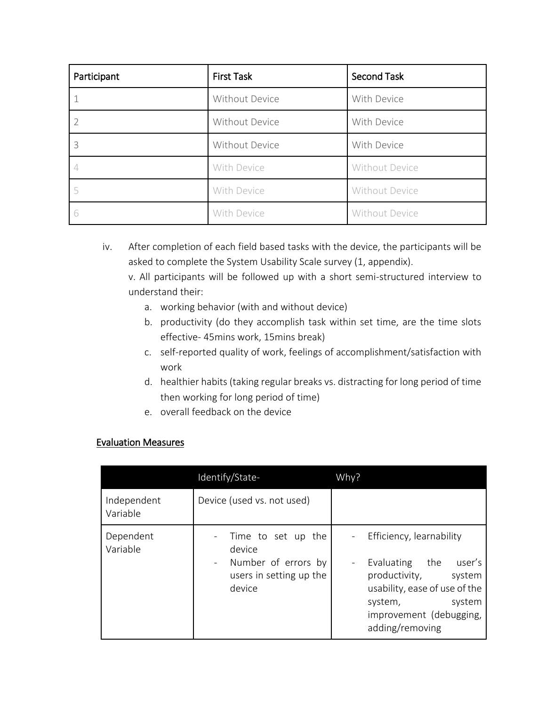| Participant | <b>Second Task</b><br><b>First Task</b> |                |  |
|-------------|-----------------------------------------|----------------|--|
|             | Without Device                          | With Device    |  |
|             | Without Device                          | With Device    |  |
| 3           | Without Device                          | With Device    |  |
|             | With Device                             | Without Device |  |
|             | With Device                             | Without Device |  |
| 6           | With Device                             | Without Device |  |

iv. After completion of each field based tasks with the device, the participants will be asked to complete the System Usability Scale survey (1, appendix).

v. All participants will be followed up with a short semi-structured interview to understand their:

- a. working behavior (with and without device)
- b. productivity (do they accomplish task within set time, are the time slots effective- 45mins work, 15mins break)
- c. self-reported quality of work, feelings of accomplishment/satisfaction with work
- d. healthier habits (taking regular breaks vs. distracting for long period of time then working for long period of time)
- e. overall feedback on the device

#### Evaluation Measures

|                         | Identify/State-                                                                            | Why?                                                                                                                                                                                                         |  |  |  |
|-------------------------|--------------------------------------------------------------------------------------------|--------------------------------------------------------------------------------------------------------------------------------------------------------------------------------------------------------------|--|--|--|
| Independent<br>Variable | Device (used vs. not used)                                                                 |                                                                                                                                                                                                              |  |  |  |
| Dependent<br>Variable   | Time to set up the<br>device<br>- Number of errors by<br>users in setting up the<br>device | Efficiency, learnability<br>Evaluating the user's<br>$\overline{\phantom{a}}$<br>productivity,<br>system<br>usability, ease of use of the<br>system,<br>system<br>improvement (debugging,<br>adding/removing |  |  |  |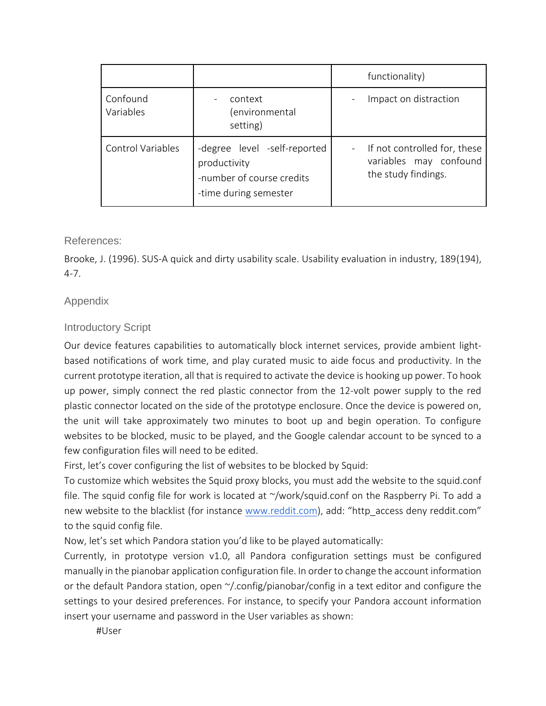|                          |                                                                                                    | functionality) |                                                                               |
|--------------------------|----------------------------------------------------------------------------------------------------|----------------|-------------------------------------------------------------------------------|
| Confound<br>Variables    | context<br>environmental)<br>setting)                                                              |                | Impact on distraction                                                         |
| <b>Control Variables</b> | -degree level -self-reported<br>productivity<br>-number of course credits<br>-time during semester |                | If not controlled for, these<br>variables may confound<br>the study findings. |

#### References:

Brooke, J. (1996). SUS-A quick and dirty usability scale. Usability evaluation in industry, 189(194), 4-7.

#### Appendix

#### Introductory Script

Our device features capabilities to automatically block internet services, provide ambient lightbased notifications of work time, and play curated music to aide focus and productivity. In the current prototype iteration, all that is required to activate the device is hooking up power. To hook up power, simply connect the red plastic connector from the 12-volt power supply to the red plastic connector located on the side of the prototype enclosure. Once the device is powered on, the unit will take approximately two minutes to boot up and begin operation. To configure websites to be blocked, music to be played, and the Google calendar account to be synced to a few configuration files will need to be edited.

First, let's cover configuring the list of websites to be blocked by Squid:

To customize which websites the Squid proxy blocks, you must add the website to the squid.conf file. The squid config file for work is located at  $\gamma$  work/squid.conf on the Raspberry Pi. To add a new website to the blacklist (for instance [www.reddit.com](http://www.reddit.com/)), add: "http\_access deny reddit.com" to the squid config file.

Now, let's set which Pandora station you'd like to be played automatically:

Currently, in prototype version v1.0, all Pandora configuration settings must be configured manually in the pianobar application configuration file. In order to change the account information or the default Pandora station, open  $\gamma$ , config/pianobar/config in a text editor and configure the settings to your desired preferences. For instance, to specify your Pandora account information insert your username and password in the User variables as shown:

#User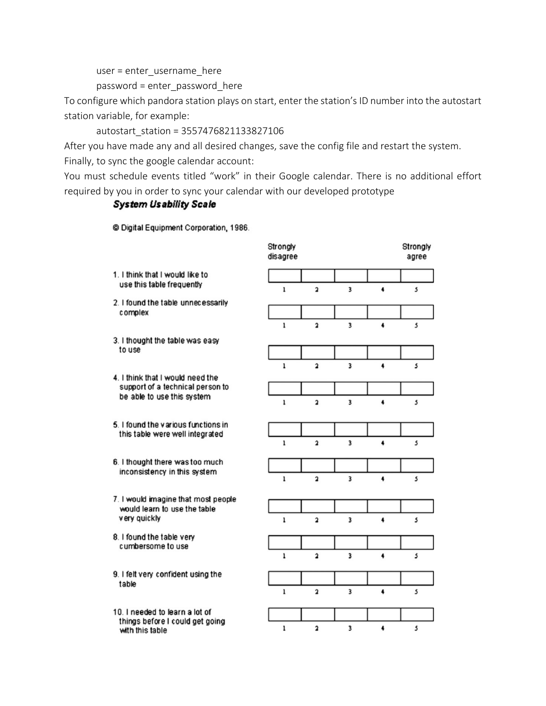user = enter\_username\_here

password = enter\_password\_here

To configure which pandora station plays on start, enter the station's ID number into the autostart station variable, for example:

autostart\_station = 3557476821133827106

After you have made any and all desired changes, save the config file and restart the system. Finally, to sync the google calendar account:

You must schedule events titled "work" in their Google calendar. There is no additional effort required by you in order to sync your calendar with our developed prototype

#### **System Usability Scale**

© Digital Equipment Corporation, 1986.

|                                                                                      | Strongly<br>disagree |                         |                         |   | Strongly<br>agree |
|--------------------------------------------------------------------------------------|----------------------|-------------------------|-------------------------|---|-------------------|
| 1. I think that I would like to<br>use this table frequently                         | $\mathbf{1}$         | $\overline{\mathbf{2}}$ | 3                       | 4 | 5                 |
| 2. I found the table unnecessarily<br>complex                                        |                      |                         |                         |   |                   |
|                                                                                      |                      |                         |                         | 4 |                   |
| 3. I thought the table was easy                                                      | $\mathbf{1}$         | $\overline{\mathbf{2}}$ | 3                       |   | 5                 |
| to use                                                                               |                      |                         |                         |   |                   |
|                                                                                      | $\mathbf{1}$         | $\overline{\mathbf{2}}$ | 3                       | 4 | 5                 |
| 4. I think that I would need the<br>support of a technical person to                 |                      |                         |                         |   |                   |
| be able to use this system                                                           | ı                    | $\overline{\mathbf{a}}$ | 3                       | 4 | 5                 |
| 5. I found the various functions in<br>this table were well integrated               |                      |                         |                         |   |                   |
|                                                                                      | $\mathbf{1}$         | $\overline{\mathbf{2}}$ | 3                       | 4 | 5                 |
| 6. I thought there was too much<br>inconsistency in this system                      |                      |                         |                         |   |                   |
|                                                                                      | ı                    | $\overline{\mathbf{2}}$ | $\overline{\mathbf{3}}$ | 4 | 5                 |
| 7. I would imagine that most people<br>would learn to use the table<br>very quickly  |                      |                         |                         |   |                   |
|                                                                                      | $\mathbf{1}$         | $\overline{\mathbf{2}}$ | 3                       | 4 | 5                 |
| 8. I found the table very<br>cumbersome to use                                       |                      |                         |                         |   |                   |
|                                                                                      | ı                    | $\overline{\mathbf{a}}$ | 3                       | 4 | 5                 |
| 9. I felt very confident using the<br>table                                          |                      |                         |                         |   |                   |
|                                                                                      | ı                    | $\overline{\mathbf{2}}$ | 3                       | 4 | 5                 |
| 10. I needed to learn a lot of<br>things before I could get going<br>with this table |                      |                         |                         |   |                   |
|                                                                                      | ı                    | $\overline{\mathbf{2}}$ | 3                       | 4 | 5                 |